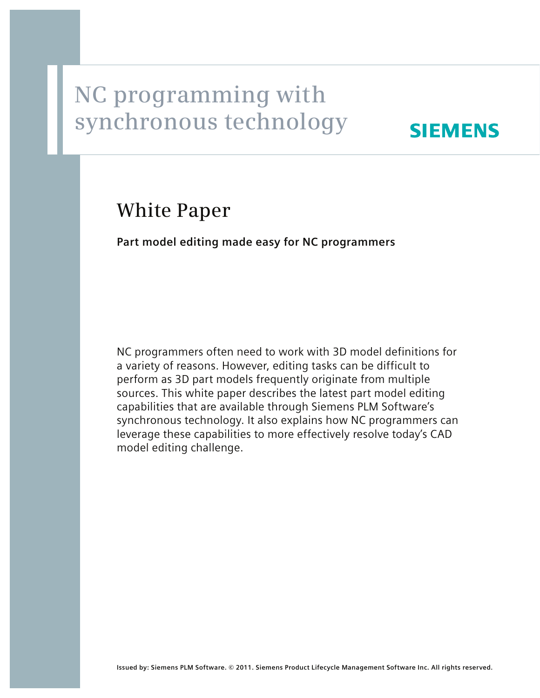## <u>Exercise with a second</u> with  $\frac{1}{2}$ **synchronous technology**

## **SIEMENS**

# **White Paper**

**Part model editing made easy for NC programmers**

NC programmers often need to work with 3D model definitions for a variety of reasons. However, editing tasks can be difficult to perform as 3D part models frequently originate from multiple sources. This white paper describes the latest part model editing capabilities that are available through Siemens PLM Software's synchronous technology. It also explains how NC programmers can leverage these capabilities to more effectively resolve today's CAD model editing challenge.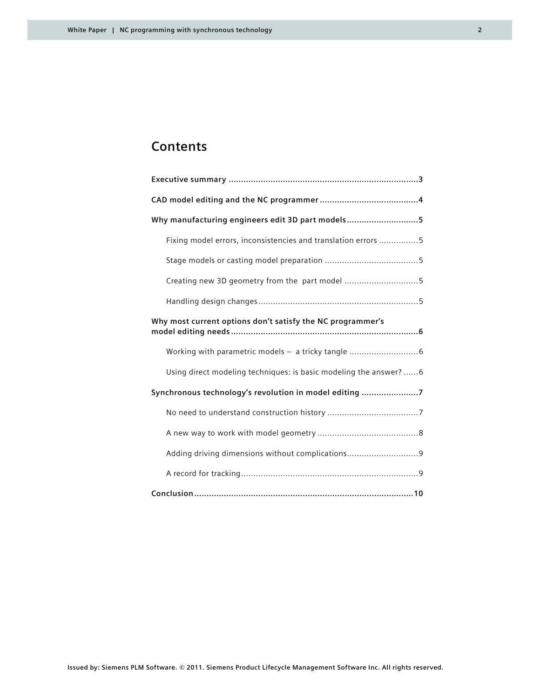### **Contents**

| Why manufacturing engineers edit 3D part models5                  |
|-------------------------------------------------------------------|
| Fixing model errors, inconsistencies and translation errors 5     |
|                                                                   |
| Creating new 3D geometry from the part model 5                    |
|                                                                   |
| Why most current options don't satisfy the NC programmer's        |
|                                                                   |
| Using direct modeling techniques: is basic modeling the answer? 6 |
| Synchronous technology's revolution in model editing 7            |
|                                                                   |
|                                                                   |
| Adding driving dimensions without complications9                  |
|                                                                   |
|                                                                   |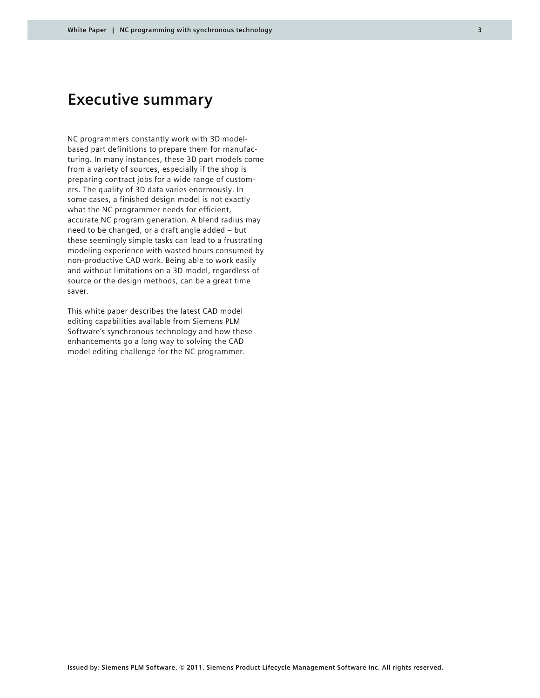### **Executive summary**

NC programmers constantly work with 3D modelbased part definitions to prepare them for manufacturing. In many instances, these 3D part models come from a variety of sources, especially if the shop is preparing contract jobs for a wide range of customers. The quality of 3D data varies enormously. In some cases, a finished design model is not exactly what the NC programmer needs for efficient, accurate NC program generation. A blend radius may need to be changed, or a draft angle added – but these seemingly simple tasks can lead to a frustrating modeling experience with wasted hours consumed by non-productive CAD work. Being able to work easily and without limitations on a 3D model, regardless of source or the design methods, can be a great time saver.

This white paper describes the latest CAD model editing capabilities available from Siemens PLM Software's synchronous technology and how these enhancements go a long way to solving the CAD model editing challenge for the NC programmer.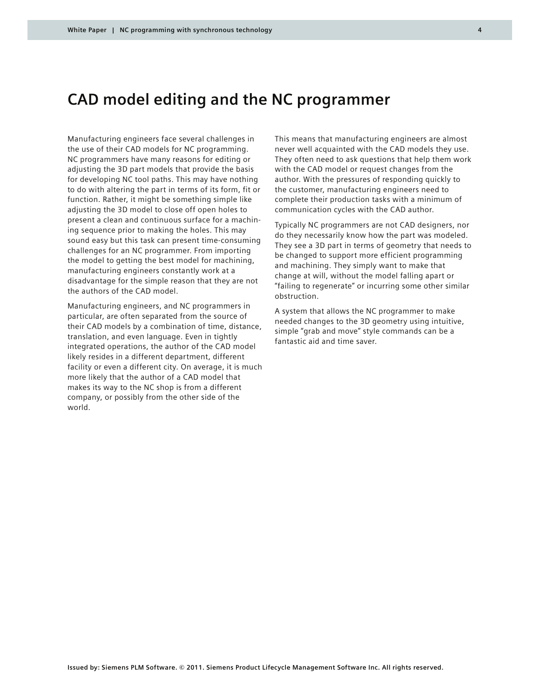### **CAD model editing and the NC programmer**

Manufacturing engineers face several challenges in the use of their CAD models for NC programming. NC programmers have many reasons for editing or adjusting the 3D part models that provide the basis for developing NC tool paths. This may have nothing to do with altering the part in terms of its form, fit or function. Rather, it might be something simple like adjusting the 3D model to close off open holes to present a clean and continuous surface for a machining sequence prior to making the holes. This may sound easy but this task can present time-consuming challenges for an NC programmer. From importing the model to getting the best model for machining, manufacturing engineers constantly work at a disadvantage for the simple reason that they are not the authors of the CAD model.

Manufacturing engineers, and NC programmers in particular, are often separated from the source of their CAD models by a combination of time, distance, translation, and even language. Even in tightly integrated operations, the author of the CAD model likely resides in a different department, different facility or even a different city. On average, it is much more likely that the author of a CAD model that makes its way to the NC shop is from a different company, or possibly from the other side of the world.

This means that manufacturing engineers are almost never well acquainted with the CAD models they use. They often need to ask questions that help them work with the CAD model or request changes from the author. With the pressures of responding quickly to the customer, manufacturing engineers need to complete their production tasks with a minimum of communication cycles with the CAD author.

Typically NC programmers are not CAD designers, nor do they necessarily know how the part was modeled. They see a 3D part in terms of geometry that needs to be changed to support more efficient programming and machining. They simply want to make that change at will, without the model falling apart or "failing to regenerate" or incurring some other similar obstruction.

A system that allows the NC programmer to make needed changes to the 3D geometry using intuitive, simple "grab and move" style commands can be a fantastic aid and time saver.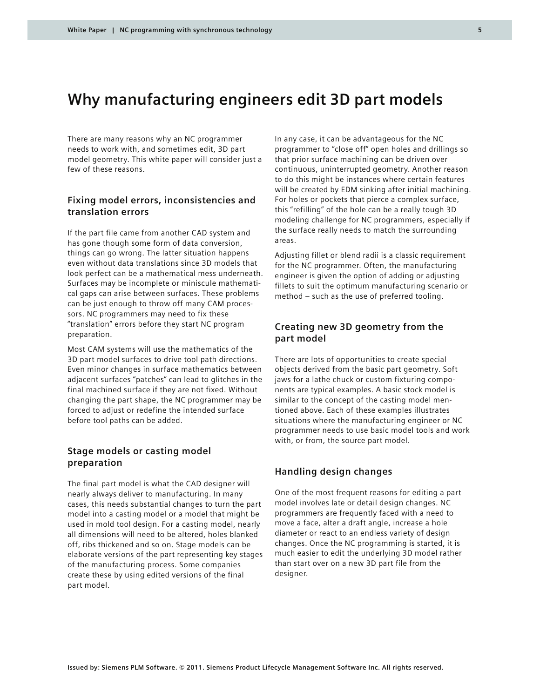### **Why manufacturing engineers edit 3D part models**

There are many reasons why an NC programmer needs to work with, and sometimes edit, 3D part model geometry. This white paper will consider just a few of these reasons.

### **Fixing model errors, inconsistencies and translation errors**

If the part file came from another CAD system and has gone though some form of data conversion, things can go wrong. The latter situation happens even without data translations since 3D models that look perfect can be a mathematical mess underneath. Surfaces may be incomplete or miniscule mathematical gaps can arise between surfaces. These problems can be just enough to throw off many CAM processors. NC programmers may need to fix these "translation" errors before they start NC program preparation.

Most CAM systems will use the mathematics of the 3D part model surfaces to drive tool path directions. Even minor changes in surface mathematics between adjacent surfaces "patches" can lead to glitches in the final machined surface if they are not fixed. Without changing the part shape, the NC programmer may be forced to adjust or redefine the intended surface before tool paths can be added.

### **Stage models or casting model preparation**

The final part model is what the CAD designer will nearly always deliver to manufacturing. In many cases, this needs substantial changes to turn the part model into a casting model or a model that might be used in mold tool design. For a casting model, nearly all dimensions will need to be altered, holes blanked off, ribs thickened and so on. Stage models can be elaborate versions of the part representing key stages of the manufacturing process. Some companies create these by using edited versions of the final part model.

In any case, it can be advantageous for the NC programmer to "close off" open holes and drillings so that prior surface machining can be driven over continuous, uninterrupted geometry. Another reason to do this might be instances where certain features will be created by EDM sinking after initial machining. For holes or pockets that pierce a complex surface, this "refilling" of the hole can be a really tough 3D modeling challenge for NC programmers, especially if the surface really needs to match the surrounding areas.

Adjusting fillet or blend radii is a classic requirement for the NC programmer. Often, the manufacturing engineer is given the option of adding or adjusting fillets to suit the optimum manufacturing scenario or method – such as the use of preferred tooling.

### **Creating new 3D geometry from the part model**

There are lots of opportunities to create special objects derived from the basic part geometry. Soft jaws for a lathe chuck or custom fixturing components are typical examples. A basic stock model is similar to the concept of the casting model mentioned above. Each of these examples illustrates situations where the manufacturing engineer or NC programmer needs to use basic model tools and work with, or from, the source part model.

### **Handling design changes**

One of the most frequent reasons for editing a part model involves late or detail design changes. NC programmers are frequently faced with a need to move a face, alter a draft angle, increase a hole diameter or react to an endless variety of design changes. Once the NC programming is started, it is much easier to edit the underlying 3D model rather than start over on a new 3D part file from the designer.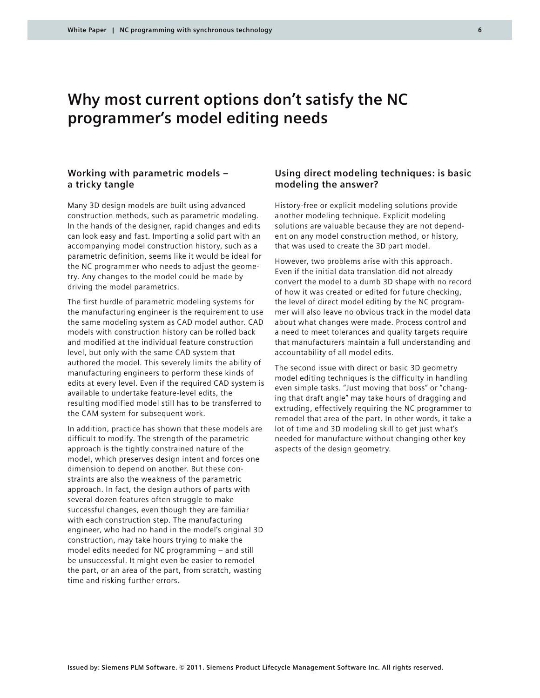### **Why most current options don't satisfy the NC programmer's model editing needs**

### **Working with parametric models – a tricky tangle**

Many 3D design models are built using advanced construction methods, such as parametric modeling. In the hands of the designer, rapid changes and edits can look easy and fast. Importing a solid part with an accompanying model construction history, such as a parametric definition, seems like it would be ideal for the NC programmer who needs to adjust the geometry. Any changes to the model could be made by driving the model parametrics.

The first hurdle of parametric modeling systems for the manufacturing engineer is the requirement to use the same modeling system as CAD model author. CAD models with construction history can be rolled back and modified at the individual feature construction level, but only with the same CAD system that authored the model. This severely limits the ability of manufacturing engineers to perform these kinds of edits at every level. Even if the required CAD system is available to undertake feature-level edits, the resulting modified model still has to be transferred to the CAM system for subsequent work.

In addition, practice has shown that these models are difficult to modify. The strength of the parametric approach is the tightly constrained nature of the model, which preserves design intent and forces one dimension to depend on another. But these constraints are also the weakness of the parametric approach. In fact, the design authors of parts with several dozen features often struggle to make successful changes, even though they are familiar with each construction step. The manufacturing engineer, who had no hand in the model's original 3D construction, may take hours trying to make the model edits needed for NC programming – and still be unsuccessful. It might even be easier to remodel the part, or an area of the part, from scratch, wasting time and risking further errors.

### **Using direct modeling techniques: is basic modeling the answer?**

History-free or explicit modeling solutions provide another modeling technique. Explicit modeling solutions are valuable because they are not dependent on any model construction method, or history, that was used to create the 3D part model.

However, two problems arise with this approach. Even if the initial data translation did not already convert the model to a dumb 3D shape with no record of how it was created or edited for future checking, the level of direct model editing by the NC programmer will also leave no obvious track in the model data about what changes were made. Process control and a need to meet tolerances and quality targets require that manufacturers maintain a full understanding and accountability of all model edits.

The second issue with direct or basic 3D geometry model editing techniques is the difficulty in handling even simple tasks. "Just moving that boss" or "changing that draft angle" may take hours of dragging and extruding, effectively requiring the NC programmer to remodel that area of the part. In other words, it take a lot of time and 3D modeling skill to get just what's needed for manufacture without changing other key aspects of the design geometry.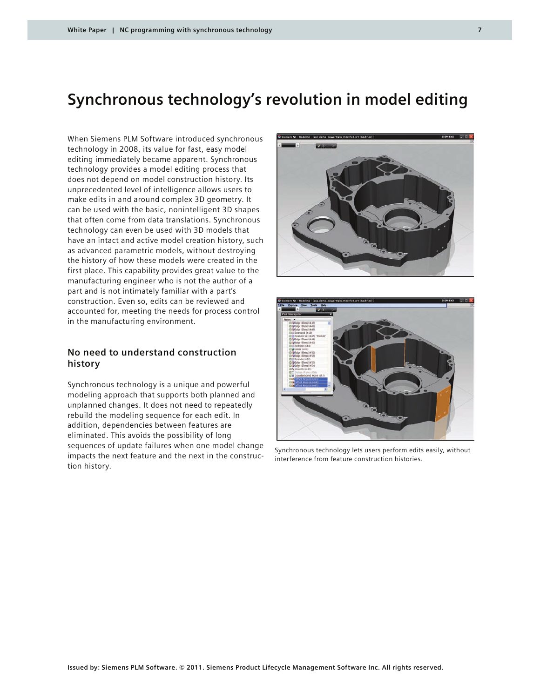### **Synchronous technology's revolution in model editing**

When Siemens PLM Software introduced synchronous technology in 2008, its value for fast, easy model editing immediately became apparent. Synchronous technology provides a model editing process that does not depend on model construction history. Its unprecedented level of intelligence allows users to make edits in and around complex 3D geometry. It can be used with the basic, nonintelligent 3D shapes that often come from data translations. Synchronous technology can even be used with 3D models that have an intact and active model creation history, such as advanced parametric models, without destroying the history of how these models were created in the first place. This capability provides great value to the manufacturing engineer who is not the author of a part and is not intimately familiar with a part's construction. Even so, edits can be reviewed and accounted for, meeting the needs for process control in the manufacturing environment.

### **No need to understand construction history**

Synchronous technology is a unique and powerful modeling approach that supports both planned and unplanned changes. It does not need to repeatedly rebuild the modeling sequence for each edit. In addition, dependencies between features are eliminated. This avoids the possibility of long sequences of update failures when one model change impacts the next feature and the next in the construction history.





Synchronous technology lets users perform edits easily, without interference from feature construction histories.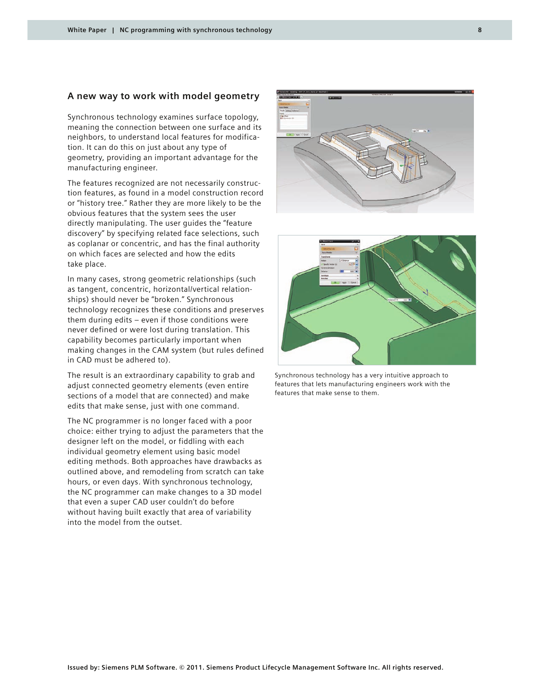#### **A new way to work with model geometry**

Synchronous technology examines surface topology, meaning the connection between one surface and its neighbors, to understand local features for modification. It can do this on just about any type of geometry, providing an important advantage for the manufacturing engineer.

The features recognized are not necessarily construction features, as found in a model construction record or "history tree." Rather they are more likely to be the obvious features that the system sees the user directly manipulating. The user guides the "feature discovery" by specifying related face selections, such as coplanar or concentric, and has the final authority on which faces are selected and how the edits take place.

In many cases, strong geometric relationships (such as tangent, concentric, horizontal/vertical relationships) should never be "broken." Synchronous technology recognizes these conditions and preserves them during edits – even if those conditions were never defined or were lost during translation. This capability becomes particularly important when making changes in the CAM system (but rules defined in CAD must be adhered to).

The result is an extraordinary capability to grab and adjust connected geometry elements (even entire sections of a model that are connected) and make edits that make sense, just with one command.

The NC programmer is no longer faced with a poor choice: either trying to adjust the parameters that the designer left on the model, or fiddling with each individual geometry element using basic model editing methods. Both approaches have drawbacks as outlined above, and remodeling from scratch can take hours, or even days. With synchronous technology, the NC programmer can make changes to a 3D model that even a super CAD user couldn't do before without having built exactly that area of variability into the model from the outset.





Synchronous technology has a very intuitive approach to features that lets manufacturing engineers work with the features that make sense to them.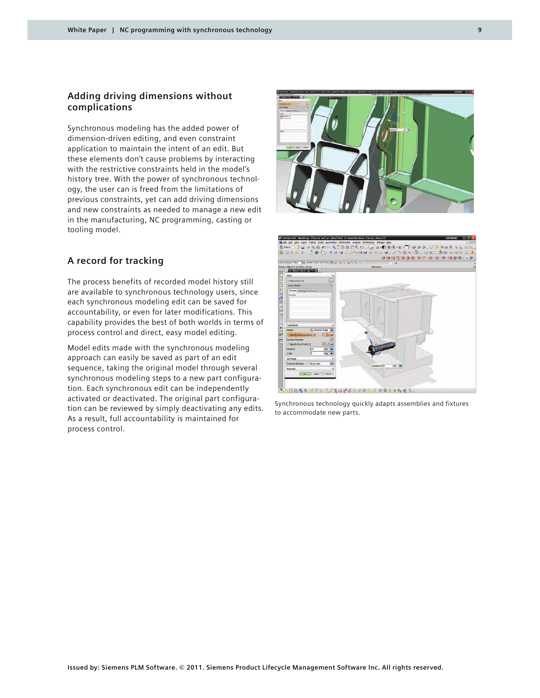### **Adding driving dimensions without complications**

Synchronous modeling has the added power of dimension-driven editing, and even constraint application to maintain the intent of an edit. But these elements don't cause problems by interacting with the restrictive constraints held in the model's history tree. With the power of synchronous technology, the user can is freed from the limitations of previous constraints, yet can add driving dimensions and new constraints as needed to manage a new edit in the manufacturing, NC programming, casting or tooling model.

### **A record for tracking**

The process benefits of recorded model history still are available to synchronous technology users, since each synchronous modeling edit can be saved for accountability, or even for later modifications. This capability provides the best of both worlds in terms of process control and direct, easy model editing.

Model edits made with the synchronous modeling approach can easily be saved as part of an edit sequence, taking the original model through several synchronous modeling steps to a new part configuration. Each synchronous edit can be independently activated or deactivated. The original part configuration can be reviewed by simply deactivating any edits. As a result, full accountability is maintained for process control.



Synchronous technology quickly adapts assemblies and fixtures to accommodate new parts.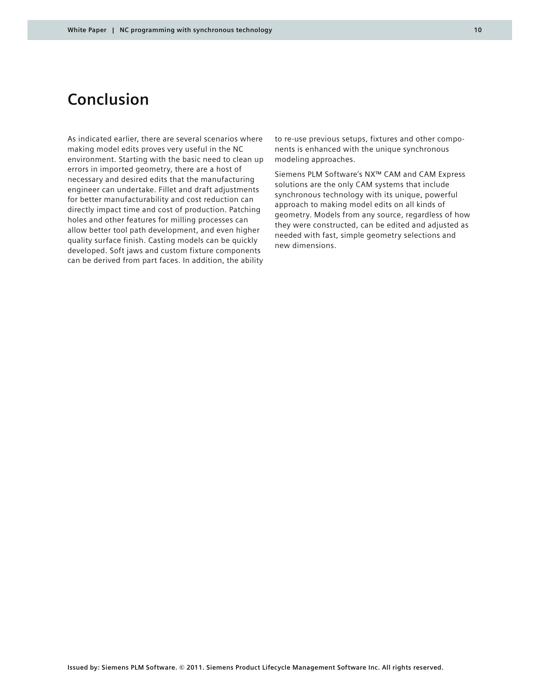### **Conclusion**

As indicated earlier, there are several scenarios where making model edits proves very useful in the NC environment. Starting with the basic need to clean up errors in imported geometry, there are a host of necessary and desired edits that the manufacturing engineer can undertake. Fillet and draft adjustments for better manufacturability and cost reduction can directly impact time and cost of production. Patching holes and other features for milling processes can allow better tool path development, and even higher quality surface finish. Casting models can be quickly developed. Soft jaws and custom fixture components can be derived from part faces. In addition, the ability

to re-use previous setups, fixtures and other components is enhanced with the unique synchronous modeling approaches.

Siemens PLM Software's NX™ CAM and CAM Express solutions are the only CAM systems that include synchronous technology with its unique, powerful approach to making model edits on all kinds of geometry. Models from any source, regardless of how they were constructed, can be edited and adjusted as needed with fast, simple geometry selections and new dimensions.